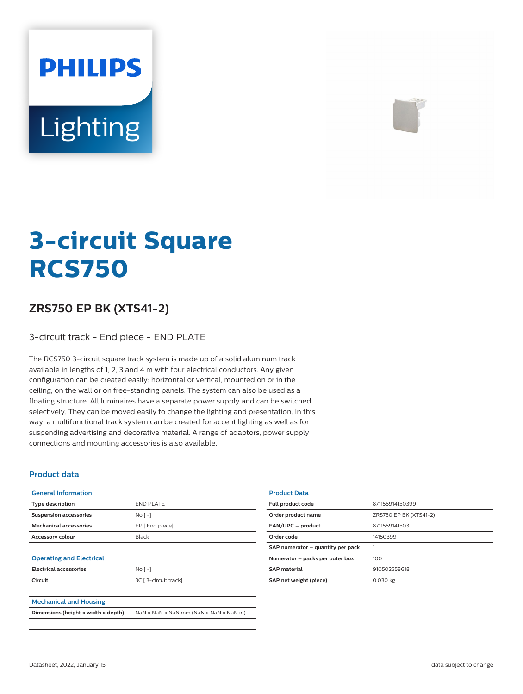# **PHILIPS Lighting**



# **3-circuit Square RCS750**

## **ZRS750 EP BK (XTS41-2)**

3-circuit track - End piece - END PLATE

The RCS750 3-circuit square track system is made up of a solid aluminum track available in lengths of 1, 2, 3 and 4 m with four electrical conductors. Any given configuration can be created easily: horizontal or vertical, mounted on or in the ceiling, on the wall or on free-standing panels. The system can also be used as a floating structure. All luminaires have a separate power supply and can be switched selectively. They can be moved easily to change the lighting and presentation. In this way, a multifunctional track system can be created for accent lighting as well as for suspending advertising and decorative material. A range of adaptors, power supply connections and mounting accessories is also available.

#### **Product data**

| <b>General Information</b>          |                                         |
|-------------------------------------|-----------------------------------------|
| Type description                    | <b>END PLATE</b>                        |
| <b>Suspension accessories</b>       | $No$ [ -1                               |
| <b>Mechanical accessories</b>       | EP [ End piece]                         |
| <b>Accessory colour</b>             | Black                                   |
|                                     |                                         |
| <b>Operating and Electrical</b>     |                                         |
| <b>Electrical accessories</b>       | $No$ [ -1                               |
| Circuit                             | 3C [ 3-circuit track]                   |
|                                     |                                         |
| <b>Mechanical and Housing</b>       |                                         |
| Dimensions (height x width x depth) | NaN x NaN x NaN mm (NaN x NaN x NaN in) |

| <b>Product Data</b>               |                        |
|-----------------------------------|------------------------|
| <b>Full product code</b>          | 871155914150399        |
| Order product name                | ZRS750 EP BK (XTS41-2) |
| EAN/UPC - product                 | 8711559141503          |
| Order code                        | 14150399               |
| SAP numerator - quantity per pack |                        |
| Numerator - packs per outer box   | 100                    |
| <b>SAP</b> material               | 910502558618           |
| SAP net weight (piece)            | 0.030 kg               |